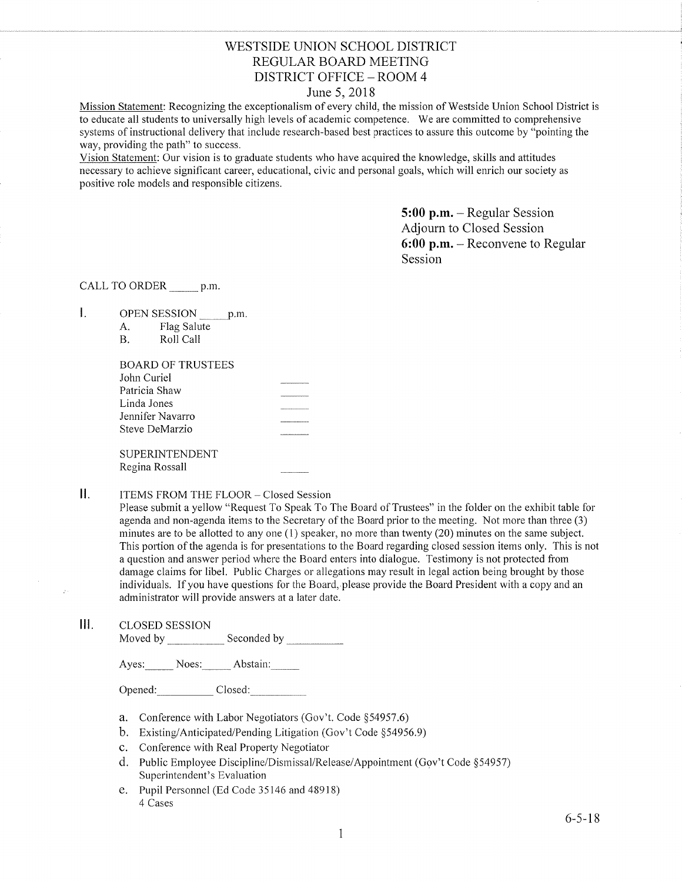## WESTSIDE UNION SCHOOL DISTRICT REGULAR BOARD MEETING DISTRICT OFFICE - ROOM 4

## June 5, 2018

Mission Statement: Recognizing the exceptionalism of every child, the mission of Westside Union School District is to educate all students to universally high levels of academic competence. We are committed to comprehensive systems of instructional delivery that include research-based best practices to assure this outcome by "pointing the way, providing the path" to success.

Vision Statement: Our vision is to graduate students who have acquired the knowledge, skills and attitudes necessary to achieve significant career, educational, civic and personal goals, which will enrich our society as positive role models and responsible citizens.

> 5:00 p.m. - Regular Session Adjourn to Closed Session 6:00 p.m. - Reconvene to Regular Session

CALL TO ORDER \_\_\_\_\_\_ p.m.

- $\mathbf{I}$ . OPEN SESSION p.m.
	- A. Flag Salute

| В. | Roll Call |  |
|----|-----------|--|
|    |           |  |

| John Curiel<br>Patricia Shaw<br>Linda Jones |  |
|---------------------------------------------|--|
|                                             |  |
|                                             |  |
|                                             |  |
| Jennifer Navarro                            |  |
| Steve DeMarzio                              |  |
|                                             |  |
| SUPERINTENDENT                              |  |
| Regina Rossall                              |  |

#### $\prod$ ITEMS FROM THE FLOOR - Closed Session

Please subrnit a yellow "Request To Speak To The Board of Trustees" in the folder on the exhibit table for agenda and non-agenda items to the Secretary of the Board prior to the meeting. Not more than three (3) minutes are to be allotted to any one (1) speaker, no more than twenty (20) minutes on the same subject. This portion of the agenda is for presentations to the Board regarding closed session items only. This is not a question and answer period where the Board enters into dialogue. Testimony is not protected from damage claims for libel. Public Charges or allegations may result in legal action being brought by those individuals. If you have questions for the Board, please provide the Board President with a copy and an administrator will provide answers at a later date.

lll. cLosED sESSroN

Moved by Seconded by

Ayes: Noes: Abstain:

Opened: Closed:

- a. Conference with Labor Negotiators (Gov't. Code \$54957.6)
- b. Existing/Anticipated/Pending Litigation (Gov't Code \$54956.9)
- c. Conference with Real Property Negotiator
- d. Public Employee Discipline/Dismissal/Release/Appointment (Gov't Code §54957) Superintendent's Evaluation
- e. Pupil Personnel (Ed Code 35146 and 48918) 4 Cases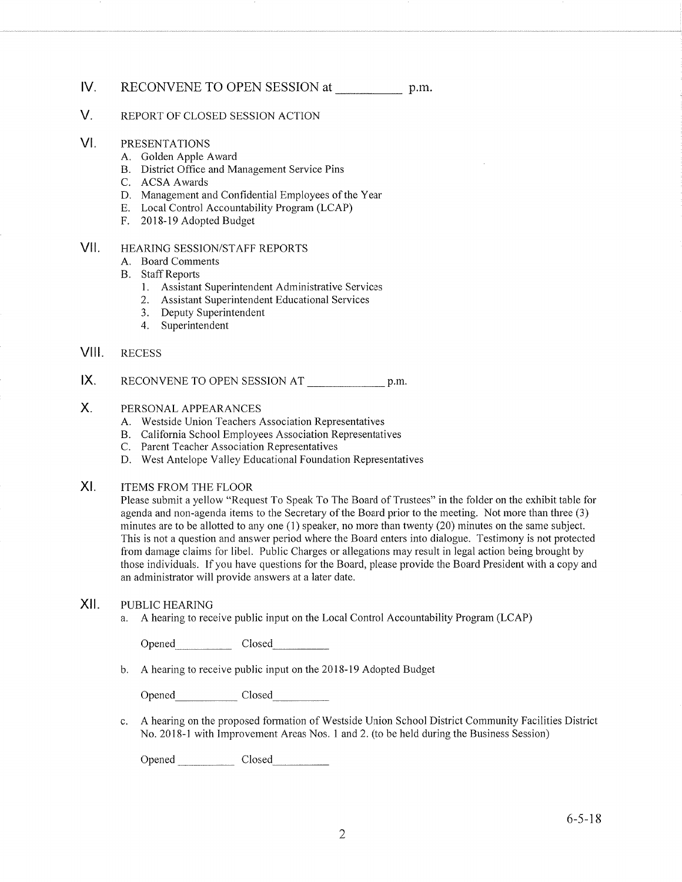## lV. RECONVENE TO OPEN SESSION at p.m.

#### V. REPORT OF CLOSED SESSION ACTION

- VI PRESENTATIONS
	-
	- A. Golden Apple Award<br>B. District Office and Management Service Pins<br>C. ACSA Awards
	-
	- D. Management and Confidential Employees of the Year E. Local Control Accountability Program (LCAP) F. 2018-19 Adopted Budget
	-
	-

#### HEARING SESSION/STAFF REPORTS vil

- A. Board Comments
- 
- B. Staff Reports<br>1. Assistant Superintendent Administrative Services
	- 2. Assistant Superintendent Educational Services
	- 3. Deputy Superintendent
	- 4. Superintendent

#### RECESS VIII.

RECONVENE TO OPEN SESSION AT p.m. IX.

#### PERSONAL APPEARANCES X.

- A. Westside Union Teachers Association Representatives
- B. California School Employees Association Representatives C. Parent Teacher Association Representatives
- 
- D. West Antelope Valley Educational Foundation Representatives
- ITEMS FROM THE FLOOR XI

Please submit a yellow "Request To Speak To The Board of Trustees" in the folder on the exhibit table for agenda and non-agenda items to the Secretary of the Board prior to the meeting. Not more than three (3) minutes are to be allotted to any one (1) speaker, no more than twenty (20) minutes on the same subject. This is not a question and answer period where the Board enters into dialogue. Testimony is not protected from damage claims for libel. Public Charges or allegations may result in legal action being brought by those individuais. If you have questions for the Board, please provide the Board President with a copy and an administrator will provide answers at alafer date.

### XII. PUBLIC HEARING

a. A hearing to receive public input on the Local Control Accountability Program (LCAP)

Opened\_ Ciosed

b. <sup>A</sup>hearing to receive public input on the 2018-19 Adopted Budget

Opened Closed

A hearing on the proposed formation of Westside Union School District Community Facilities District  $\mathbf{c}$ . No. 2018-1 with Improvement Areas Nos. 1 and 2. (to be held during the Business Session)

Opened Closed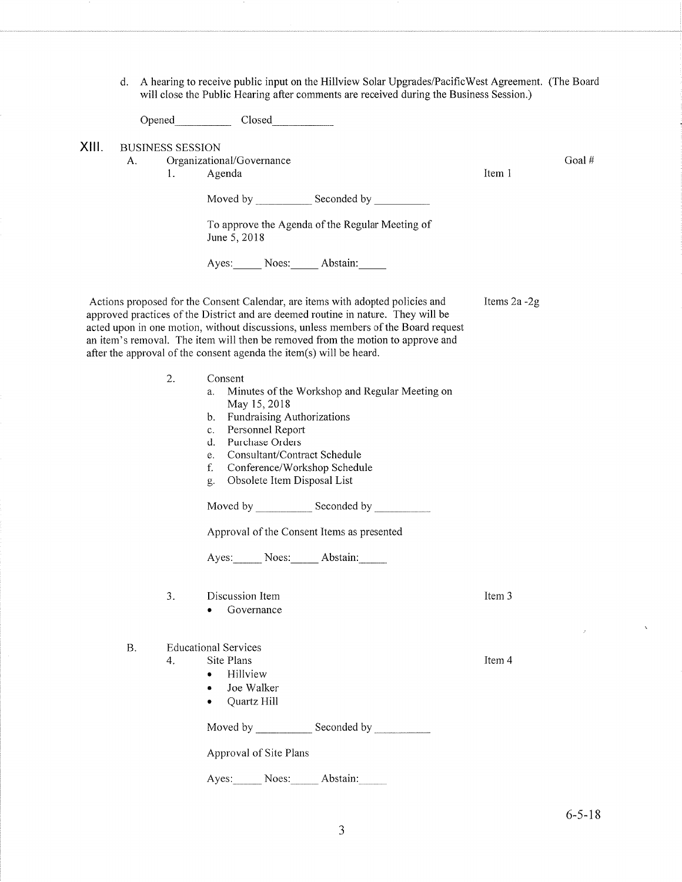d. A hearing to receive public input on the Hillview Solar Upgrades/PacificWest Agreement. (The Board will close the Public Hearing after comments are received during the Business Session.)

|       |    |                               | Opened Closed                                                                                                                                                                                                                                                                                                                                                                                                       |              |       |
|-------|----|-------------------------------|---------------------------------------------------------------------------------------------------------------------------------------------------------------------------------------------------------------------------------------------------------------------------------------------------------------------------------------------------------------------------------------------------------------------|--------------|-------|
| XIII. | А. | <b>BUSINESS SESSION</b><br>1. | Organizational/Governance<br>Agenda                                                                                                                                                                                                                                                                                                                                                                                 | Item 1       | Goal# |
|       |    |                               | Moved by _______________ Seconded by ____________                                                                                                                                                                                                                                                                                                                                                                   |              |       |
|       |    |                               | To approve the Agenda of the Regular Meeting of<br>June 5, 2018                                                                                                                                                                                                                                                                                                                                                     |              |       |
|       |    |                               | Ayes: Noes: Abstain:                                                                                                                                                                                                                                                                                                                                                                                                |              |       |
|       |    |                               | Actions proposed for the Consent Calendar, are items with adopted policies and<br>approved practices of the District and are deemed routine in nature. They will be<br>acted upon in one motion, without discussions, unless members of the Board request<br>an item's removal. The item will then be removed from the motion to approve and<br>after the approval of the consent agenda the item(s) will be heard. | Items 2a -2g |       |
|       |    | 2.                            | Consent<br>Minutes of the Workshop and Regular Meeting on<br>a.<br>May 15, 2018<br>Fundraising Authorizations<br>b.<br>Personnel Report<br>c.<br>Purchase Orders<br>d.<br>Consultant/Contract Schedule<br>e.<br>f.<br>Conference/Workshop Schedule<br>Obsolete Item Disposal List<br>g.                                                                                                                             |              |       |
|       |    |                               |                                                                                                                                                                                                                                                                                                                                                                                                                     |              |       |
|       |    |                               | Approval of the Consent Items as presented                                                                                                                                                                                                                                                                                                                                                                          |              |       |
|       |    |                               | Ayes: Noes: Abstain:                                                                                                                                                                                                                                                                                                                                                                                                |              |       |
|       |    | 3.                            | Discussion Item<br>Governance                                                                                                                                                                                                                                                                                                                                                                                       | Item 3       |       |
|       | Β. | 4.                            | <b>Educational Services</b><br>Site Plans<br>Hillview<br>Joe Walker<br>Quartz Hill                                                                                                                                                                                                                                                                                                                                  | Item 4       |       |
|       |    |                               |                                                                                                                                                                                                                                                                                                                                                                                                                     |              |       |
|       |    |                               | Approval of Site Plans                                                                                                                                                                                                                                                                                                                                                                                              |              |       |
|       |    |                               | Ayes: Noes: Abstain:                                                                                                                                                                                                                                                                                                                                                                                                |              |       |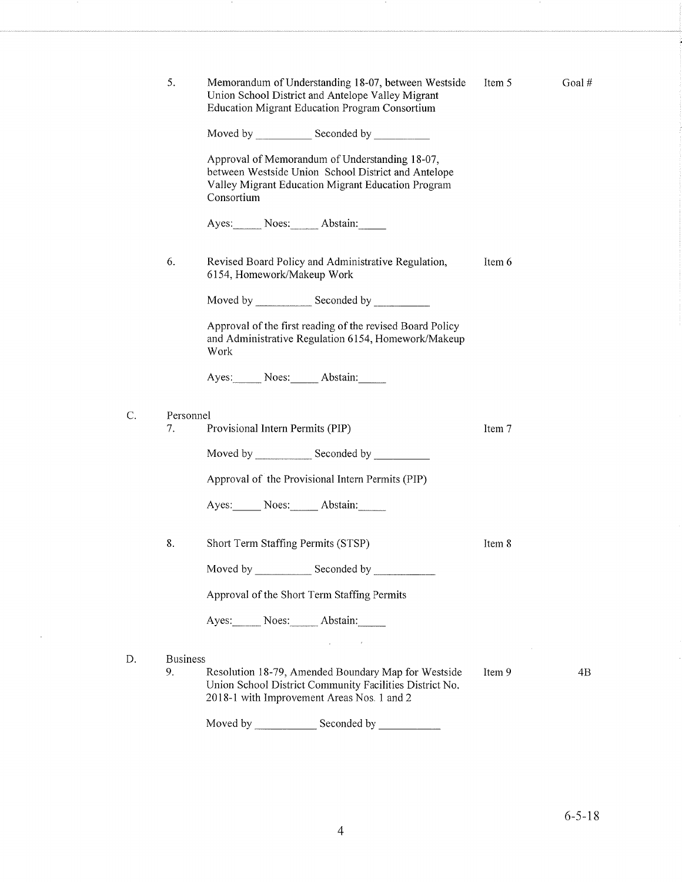|    | 5.                    | Memorandum of Understanding 18-07, between Westside<br>Union School District and Antelope Valley Migrant<br><b>Education Migrant Education Program Consortium</b>         | Item 5 | Goal# |
|----|-----------------------|---------------------------------------------------------------------------------------------------------------------------------------------------------------------------|--------|-------|
|    |                       |                                                                                                                                                                           |        |       |
|    |                       | Approval of Memorandum of Understanding 18-07,<br>between Westside Union School District and Antelope<br>Valley Migrant Education Migrant Education Program<br>Consortium |        |       |
|    |                       | Ayes: Noes: Abstain:                                                                                                                                                      |        |       |
|    | 6.                    | Revised Board Policy and Administrative Regulation,<br>6154, Homework/Makeup Work                                                                                         | Item 6 |       |
|    |                       |                                                                                                                                                                           |        |       |
|    |                       | Approval of the first reading of the revised Board Policy<br>and Administrative Regulation 6154, Homework/Makeup<br>Work                                                  |        |       |
|    |                       | Ayes: Noes: Abstain:                                                                                                                                                      |        |       |
| Ć. | Personnel<br>7.       | Provisional Intern Permits (PIP)                                                                                                                                          | Item 7 |       |
|    |                       | Moved by Seconded by                                                                                                                                                      |        |       |
|    |                       | Approval of the Provisional Intern Permits (PIP)                                                                                                                          |        |       |
|    |                       | Ayes: Noes: Abstain:                                                                                                                                                      |        |       |
|    | 8.                    | Short Term Staffing Permits (STSP)                                                                                                                                        | Item 8 |       |
|    |                       |                                                                                                                                                                           |        |       |
|    |                       | Approval of the Short Term Staffing Permits                                                                                                                               |        |       |
|    |                       | Ayes: Noes: Abstain:                                                                                                                                                      |        |       |
|    |                       | $\mathcal{L}_{\text{max}}$ and $\mathcal{L}_{\text{max}}$                                                                                                                 |        |       |
| D. | <b>Business</b><br>9. | Resolution 18-79, Amended Boundary Map for Westside<br>Union School District Community Facilities District No.<br>2018-1 with Improvement Areas Nos. 1 and 2              | Item 9 | 4B    |
|    |                       | Moved by<br>Seconded by                                                                                                                                                   |        |       |

 $\mathbf{v}$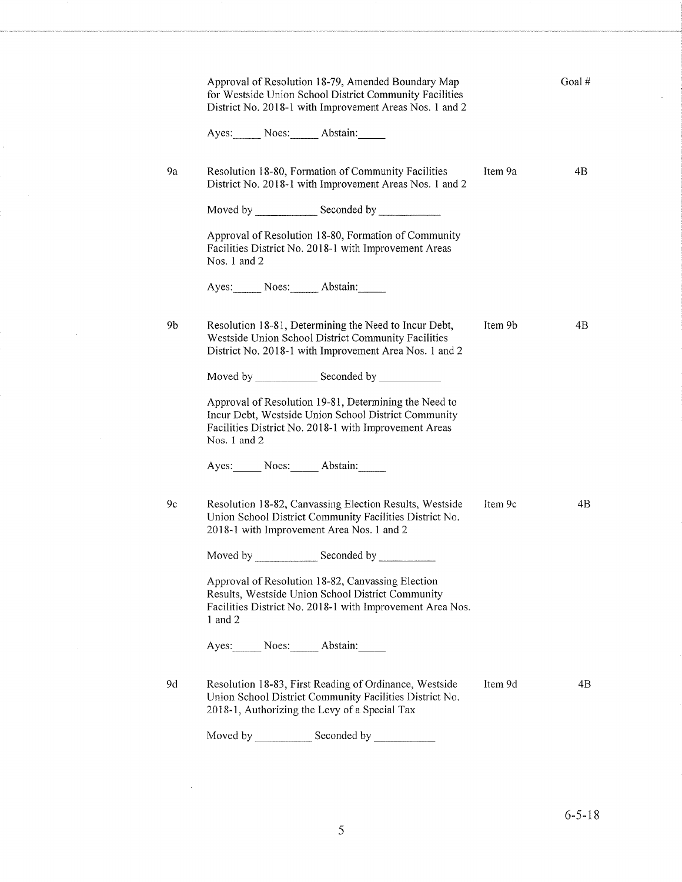|    | Approval of Resolution 18-79, Amended Boundary Map<br>for Westside Union School District Community Facilities<br>District No. 2018-1 with Improvement Areas Nos. 1 and 2               |         | Goal # |
|----|----------------------------------------------------------------------------------------------------------------------------------------------------------------------------------------|---------|--------|
|    | Ayes: Noes: Abstain:                                                                                                                                                                   |         |        |
| 9a | Resolution 18-80, Formation of Community Facilities<br>District No. 2018-1 with Improvement Areas Nos. 1 and 2                                                                         | Item 9a | 4B     |
|    |                                                                                                                                                                                        |         |        |
|    | Approval of Resolution 18-80, Formation of Community<br>Facilities District No. 2018-1 with Improvement Areas<br>Nos. 1 and 2                                                          |         |        |
|    | Ayes: Noes: Abstain:                                                                                                                                                                   |         |        |
| 9b | Resolution 18-81, Determining the Need to Incur Debt,<br>Westside Union School District Community Facilities<br>District No. 2018-1 with Improvement Area Nos. 1 and 2                 | Item 9b | 4B     |
|    |                                                                                                                                                                                        |         |        |
|    | Approval of Resolution 19-81, Determining the Need to<br>Incur Debt, Westside Union School District Community<br>Facilities District No. 2018-1 with Improvement Areas<br>Nos. 1 and 2 |         |        |
|    | Ayes: Noes: Abstain:                                                                                                                                                                   |         |        |
| 9c | Resolution 18-82, Canvassing Election Results, Westside<br>Union School District Community Facilities District No.<br>2018-1 with Improvement Area Nos. 1 and 2                        | Item 9c | 4B     |
|    |                                                                                                                                                                                        |         |        |
|    | Approval of Resolution 18-82, Canvassing Election<br>Results, Westside Union School District Community<br>Facilities District No. 2018-1 with Improvement Area Nos.<br>$1$ and $2$     |         |        |
|    | Ayes: Noes: Abstain:                                                                                                                                                                   |         |        |
| 9d | Resolution 18-83, First Reading of Ordinance, Westside<br>Union School District Community Facilities District No.<br>2018-1, Authorizing the Levy of a Special Tax                     | Item 9d | 4B     |
|    |                                                                                                                                                                                        |         |        |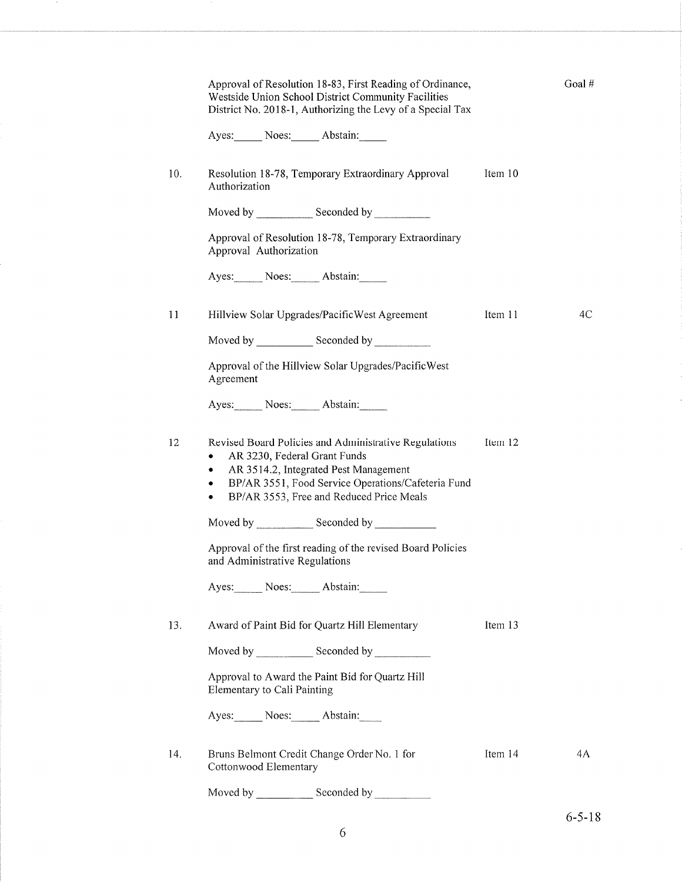|     | Approval of Resolution 18-83, First Reading of Ordinance,<br>Westside Union School District Community Facilities<br>District No. 2018-1, Authorizing the Levy of a Special Tax                                                                       |         | Goal# |
|-----|------------------------------------------------------------------------------------------------------------------------------------------------------------------------------------------------------------------------------------------------------|---------|-------|
|     | Ayes: Noes: Abstain:                                                                                                                                                                                                                                 |         |       |
| 10. | Resolution 18-78, Temporary Extraordinary Approval<br>Authorization                                                                                                                                                                                  | Item 10 |       |
|     | Moved by _________________ Seconded by _______________                                                                                                                                                                                               |         |       |
|     | Approval of Resolution 18-78, Temporary Extraordinary<br>Approval Authorization                                                                                                                                                                      |         |       |
|     | Ayes: Noes: Abstain:                                                                                                                                                                                                                                 |         |       |
| 11  | Hillview Solar Upgrades/PacificWest Agreement                                                                                                                                                                                                        | Item 11 | 4C    |
|     |                                                                                                                                                                                                                                                      |         |       |
|     | Approval of the Hillview Solar Upgrades/PacificWest<br>Agreement                                                                                                                                                                                     |         |       |
|     | Ayes: Noes: Abstain:                                                                                                                                                                                                                                 |         |       |
| 12  | Revised Board Policies and Administrative Regulations<br>AR 3230, Federal Grant Funds<br>٠<br>AR 3514.2, Integrated Pest Management<br>٠<br>BP/AR 3551, Food Service Operations/Cafeteria Fund<br>٠<br>BP/AR 3553, Free and Reduced Price Meals<br>٠ | Item 12 |       |
|     | Moved by Seconded by Seconded by Seconded by Seconded by Seconded by Seconded by Seconded by Seconded by Seconded by Seconded by Seconded by Seconded by Seconded by Seconded by Seconded by Seconded by Seconded by Seconded                        |         |       |
|     | Approval of the first reading of the revised Board Policies<br>and Administrative Regulations                                                                                                                                                        |         |       |
|     | Ayes: Noes: Abstain:                                                                                                                                                                                                                                 |         |       |
| 13. | Award of Paint Bid for Quartz Hill Elementary                                                                                                                                                                                                        | Item 13 |       |
|     |                                                                                                                                                                                                                                                      |         |       |
|     | Approval to Award the Paint Bid for Quartz Hill<br>Elementary to Cali Painting                                                                                                                                                                       |         |       |
|     | Ayes: Noes: Abstain:                                                                                                                                                                                                                                 |         |       |
| 14. | Bruns Belmont Credit Change Order No. 1 for<br>Cottonwood Elementary                                                                                                                                                                                 | Item 14 | 4A    |
|     | Moved by Seconded by                                                                                                                                                                                                                                 |         |       |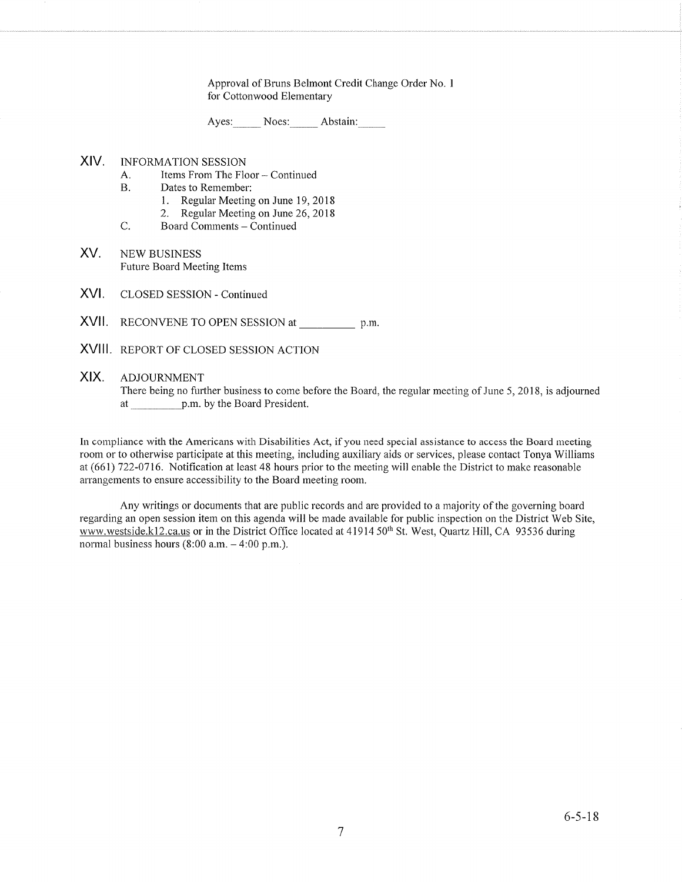Approval of Bruns Belmont Credit Change Order No. <sup>I</sup> for Cottonwood Elementary

Ayes: Noes: Abstain:

#### XIV INFORMATION SESSION

- A. Items From The Floor Continued<br>B. Dates to Remember:
- - 1. Regular Meeting on June 19, 2018
- 2. Regular Meeting on June 26, 2018<br>C. Board Comments Continued
- 
- XV NEW BUSINESS Future Board Meeting Items
- XVI. CLOSED SESSION - Continued
- XVII. RECONVENE TO OPEN SESSION at p.m.
- XVIII REPORT OF CLOSED SESSION ACTION

#### XIX. ADJOURNMENT

There being no further business to come before the Board, the regular meeting of June 5,2018, is adjourned at p.m. by the Board President.

In compliance with the Americans with Disabilities Act, if you need special assistance to access the Board meeting room or to otherwise participate at this meeting, including auxiliary aids or services, please contact Tonya Williams at (661) 722-0716. Notification at least 48 hours prior to the meeting will enable the District to make reasonable arrangements to ensure accessibility to the Board meeting room.

Any writings or documents that are public records and are provided to a majority of the governing board regarding an open session item on this agenda will be made available for public inspection on the District Web Site, www.westside.k12.ca.us or in the District Office located at 41914 50<sup>th</sup> St. West, Quartz Hill, CA 93536 during normal business hours  $(8:00$  a.m.  $-4:00$  p.m.).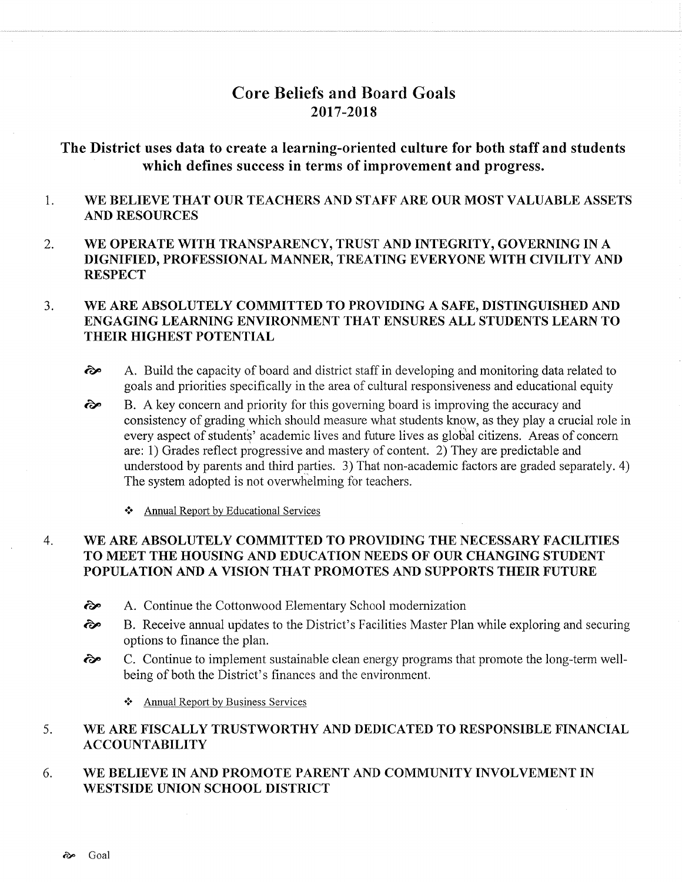# Core Beliefs and Board Goals 2017-20t8

# The District uses data to create a learning-oriented culture for both staff and students which defines success in terms of improvement and progress.

- 1 WE BELIEVE THAT OUR TEACHERS AND STAFF ARE OUR MOST VALUABLE ASSETS AND RESOURCES
- 2 WE OPERATE WITH TRANSPARENCY, TRUST AND INTEGRITY, GOVERNING IN A DIGNIFIED, PROFESSIONAL MANNER, TREATING EVERYONE WITH CIVILITY AND **RESPECT**

#### WE ARE ABSOLUTELY COMMITTED TO PROVIDING A SAFE, DISTINGUISHED AND ENGAGING LEARNING ENVIRONMENT THAT ENSURES ALL STUDENTS LEARN TO THEIR HIGHEST POTENTIAL  $3<sub>l</sub>$

- $\odot$  A. Build the capacity of board and district staff in developing and monitoring data related to goals and priorities specifically in the area of cultural responsiveness and educational equity
- B. A key concern and priority for this governing board is improving the accuracy and consistency of grading which should measure what students know, as they play a crucial role in every aspect of students' academic lives and future lives as global citizens. Areas of concern are: 1) Grades reflect progressive and mastery of content. 2) They are predictable and understood by parents and third parties. 3) That non-academic factors are graded separately. 4) The system adopted is not overwhelming for teachers.  $\hat{\infty}$ 
	- \* Annual Report by Educational Services

#### WE ARE ABSOLUTELY COMMITTED TO PROVIDING THE NECESSARY FACILITIES TO MEET THE HOUSING AND EDUCATION NEEDS OF OUR CHANGING STUDENT POPULATION AND A VISION THAT PROMOTES AND SUPPORTS THEIR FUTURE 4

- ôp A. Continue the Cottonwood Elementary School modernization
- èp B. Receive annual updates to the District's Facilities Master Plan while exploring and securing options to finance the plan.
- **∂** C. Continue to implement sustainable clean energy programs that promote the long-term wellbeing of both the District's finances and the environment.
	- ❖ Annual Report by Business Services

#### WE ARE FISCALLY TRUSTWORTHY AND DEDICATED TO RESPONSIBLE FINANCIAL ACCOUNTABILITY 5

#### WE BELIEVE IN AND PROMOTE PARENT AND COMMUNITY INVOLVEMENT IN WESTSIDE UNION SCHOOL DISTRICT 6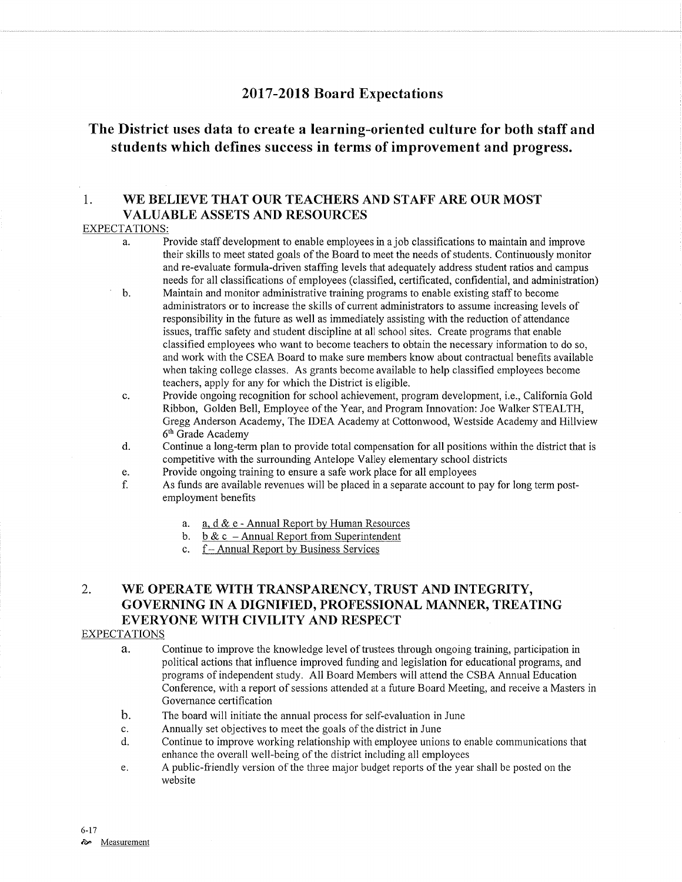## <sup>2017</sup>-2018 Board Expectations

# The District uses data to create a learning-oriented culture for both staff and students which defines success in terms of improvement and progress.

## 1. WE BELIEVE THAT OUR TEACHERS AND STAFF ARE OUR MOST VALUABLE ASSETS AND RESOURCES

### EXPECTATIONS:

- a. Provide staff development to enable employees in a job classihcations to maintain and improve their skills to meet stated goals of the Board to meet the needs of students. Continuously monitor and re-evaluate formula-driven staffing levels that adequately address student ratios and campus needs for all classifications of employees (classified, certificated, confidential, and administration) b. Maintain and monitor administrative training programs to enable existing staff to become
- administrators or to increase the skills of curent administrators to assume increasing levels of responsibility in the future as well as immediately assisting with the reduction of attendance issues, traffic safefy and student discipline at all school sites. Create programs that enable classified employees who want to become teachers to obtain the necessary information to do so, and work with the CSEA Board to make sure members know about contractual benefrts available when taking college classes. As grants become available to help classified employees become teachers, apply for any for which the District is eligible.
- c. Provide ongoing recognition for school achievement, program development, i.e., California Gold Ribbon, Golden Bell, Employee of the Year, and Program Innovation: Joe Walker STEALTH, Gregg Anderson Academy, The IDEA Academy at Cottonwood, Westside Academy and Hillview  $6<sup>th</sup>$  Grade Academy d. Continue a long-term plan to provide total compensation for all positions within the district that is
- competitive with the surrounding Antelope Valley elementary school districts Provide ongoing training to ensure a safe work place for all employees
- 
- e. Provide ongoing training to ensure a safe work place for all employees<br>f. As funds are available revenues will be placed in a separate account to pay for long term postemployment benefits
	- a. a.  $d \& e$  Annual Report by Human Resources<br>b. b  $\& c$  Annual Report from Superintendent<br>c. f Annual Report by Business Services
	-
	-

## 2. WE OPERATE WITH TRANSPARENCY, TRUST AND INTEGRITY, GOVERNING IN A DIGNIFIED, PROFESSIONAL MANNER, TREATING EVERYONE WITH CIVILITY AND RESPECT

### EXPECTATIONS

- a. Continue to improve the knowledge level of trustees through ongoing training, participation in political actions that influence improved funding and legislation for educational programs, and programs of independent study. All Board Members will attend the CSBA Annual Education Conference, with a report of sessions attended at a future Board Meeting, and receive a Masters in Governance certification
- b. The board will initiate the annual process for self-evaluation in June
- 
- c. Annually set objectives to meet the goals of the district in June d. Continue to improve working relationship with employee unions to enable communications that enhance the overall well-being of the district including all employees
- e. A public-friendly version of the three major budget reports of the year shall be posted on the website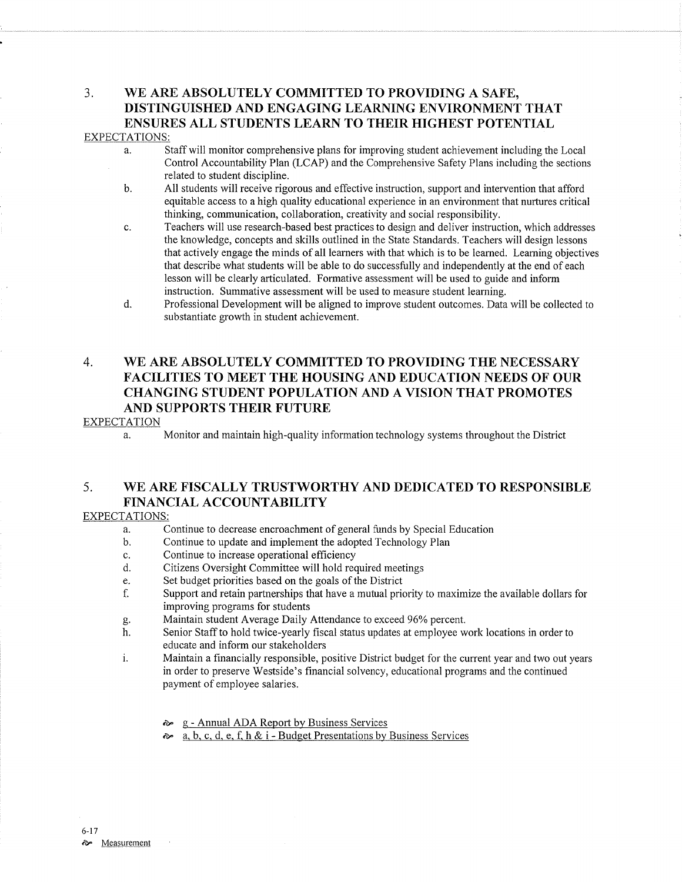# 3. WE ARB ABSOLUTELY COMMITTED TO PROVIDING A SAFE, DISTINGUISHED AND ENGAGING LEARNING ENVIRONMENT THAT ENSURES ALL STUDENTS LEARN TO THEIR HIGHEST POTENTIAL

### EXPECTATIONS:

- a. Staff will monitor comprehensive plans for improving student achievement including the Local Control Accountabilify Plan (LCAP) and the Comprehensive Safety Plans including the sections related to student discipline.<br>b. All students will receive rigorous and effective instruction, support and intervention that afford
- equitable access to a high quality educational experience in an environment that nurtures critical thinking, communication, collaboration, creativify and social responsibility.
- c. Teachers will use research-based best practices to design and deliver instruction, which addresses the knowledge, concepts and skills outlined in the State Standards. Teachers will design lessons that actively engage the minds of all learners with that which is to be learned. Learning objectives that describe what students will be able to do successfully and independently at the end of each lesson will be clearly articulated. Formative assessment will be used to guide and inform
- instruction. Summative assessment will be used to measure student learning. d. Professional Development will be aligned to improve student outcomes. Data will be collected to substantiate growth in student achievement.

## 4. WE ARE ABSOLUTELY COMMITTED TO PROVIDING THE NECESSARY FACILITIES TO MEET THE HOUSING AND EDUCATION NEEDS OF OUR CHANGING STUDENT POPULATION AND A VISION THAT PROMOTES AND SUPPORTS THEIR FUTURE

### EXPECTATION

a. Monitor and maintain high-quality information technology systems throughout the District

## 5. WE ARE FISCALLY TRUSTWORTHY AND DEDICATED TO RESPONSIBLE FINANCIAL ACCOUNTABILITY

### EXPECTATIONS:

- a. Continue to decrease encroachment of general funds by Special Education b. Continue to update and implement the adopted Techology Plan
- 
- 
- c. Continue to increase operational efhciency d. Citizens Oversight Committee will hold required meetings
- 
- e. Set budget priorities based on the goals of the District for maximize the available dollars for the Support and retain partnerships that have a mutual priority to maximize the available dollars for improving programs for students
- 
- g. Maintain student Average Daily Attendance to exceed 96% percent.<br>h. Senior Staff to hold twice-yearly fiscal status updates at employee work locations in order to educate and inform our stakeholders
- i. Maintain a financially responsible, positive District budget for the current year and two out years in order to preserve Westside's financial solvency, educational programs and the continued payment of employee salaries.
	- a g Annual ADA Report by Business Services
	- ôp a. b. c. d, e, f. h & i - Budget Presentations by Business Services